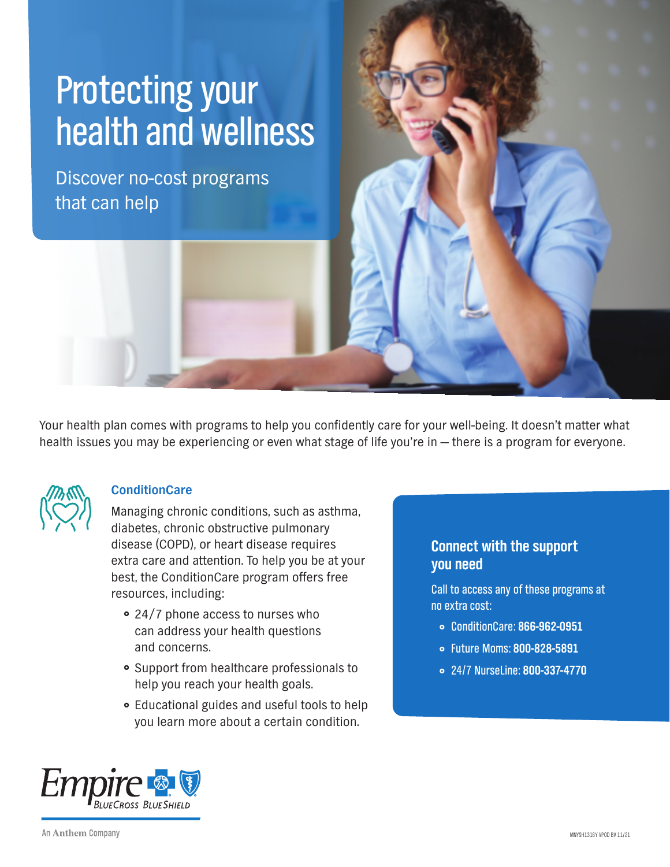# Protecting your health and wellness

Discover no-cost programs that can help

Your health plan comes with programs to help you confidently care for your well-being. It doesn't matter what health issues you may be experiencing or even what stage of life you're in — there is a program for everyone.



## **ConditionCare**

Managing chronic conditions, such as asthma, diabetes, chronic obstructive pulmonary disease (COPD), or heart disease requires extra care and attention. To help you be at your best, the ConditionCare program offers free resources, including:

- 24/7 phone access to nurses who can address your health questions and concerns.
- Support from healthcare professionals to help you reach your health goals.
- Educational guides and useful tools to help you learn more about a certain condition.

## **Connect with the support you need**

Call to access any of these programs at no extra cost:

- ConditionCare: **866-962-0951**
- Future Moms: **800-828-5891**
- 24/7 NurseLine: **800-337-4770**